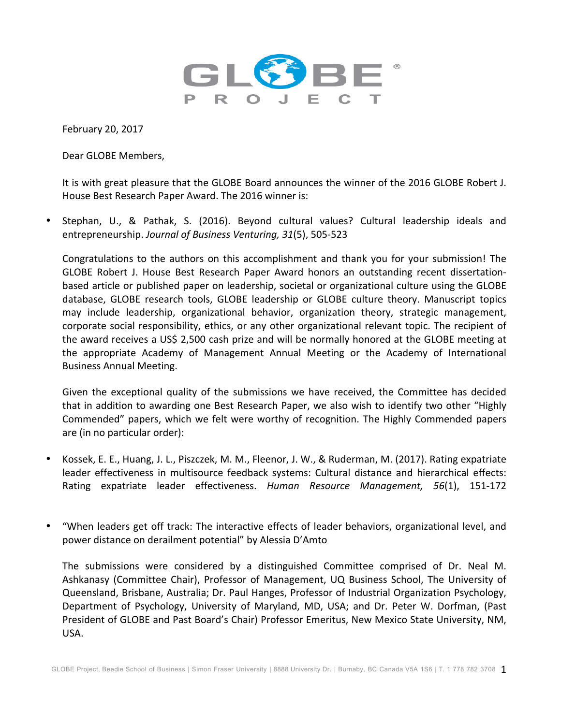

February 20, 2017

Dear GLOBE Members,

It is with great pleasure that the GLOBE Board announces the winner of the 2016 GLOBE Robert J. House Best Research Paper Award. The 2016 winner is:

Stephan, U., & Pathak, S. (2016). Beyond cultural values? Cultural leadership ideals and entrepreneurship. Journal of Business Venturing, 31(5), 505-523

Congratulations to the authors on this accomplishment and thank you for your submission! The GLOBE Robert J. House Best Research Paper Award honors an outstanding recent dissertationbased article or published paper on leadership, societal or organizational culture using the GLOBE database, GLOBE research tools, GLOBE leadership or GLOBE culture theory. Manuscript topics may include leadership, organizational behavior, organization theory, strategic management, corporate social responsibility, ethics, or any other organizational relevant topic. The recipient of the award receives a US\$ 2,500 cash prize and will be normally honored at the GLOBE meeting at the appropriate Academy of Management Annual Meeting or the Academy of International Business Annual Meeting.

Given the exceptional quality of the submissions we have received, the Committee has decided that in addition to awarding one Best Research Paper, we also wish to identify two other "Highly Commended" papers, which we felt were worthy of recognition. The Highly Commended papers are (in no particular order):

- Kossek, E. E., Huang, J. L., Piszczek, M. M., Fleenor, J. W., & Ruderman, M. (2017). Rating expatriate leader effectiveness in multisource feedback systems: Cultural distance and hierarchical effects: Rating expatriate leader effectiveness. *Human Resource Management, 56*(1), 151-172
- "When leaders get off track: The interactive effects of leader behaviors, organizational level, and power distance on derailment potential" by Alessia D'Amto

The submissions were considered by a distinguished Committee comprised of Dr. Neal M. Ashkanasy (Committee Chair), Professor of Management, UQ Business School, The University of Queensland, Brisbane, Australia; Dr. Paul Hanges, Professor of Industrial Organization Psychology, Department of Psychology, University of Maryland, MD, USA; and Dr. Peter W. Dorfman, (Past President of GLOBE and Past Board's Chair) Professor Emeritus, New Mexico State University, NM, USA.